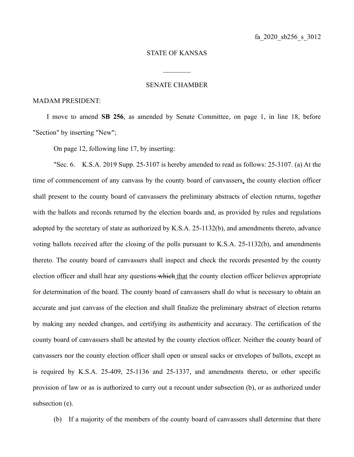## STATE OF KANSAS

## SENATE CHAMBER

 $\frac{1}{2}$ 

## MADAM PRESIDENT:

I move to amend **SB 256**, as amended by Senate Committee, on page 1, in line 18, before "Section" by inserting "New";

On page 12, following line 17, by inserting:

"Sec. 6. K.S.A. 2019 Supp. 25-3107 is hereby amended to read as follows: 25-3107. (a) At the time of commencement of any canvass by the county board of canvassers, the county election officer shall present to the county board of canvassers the preliminary abstracts of election returns, together with the ballots and records returned by the election boards and, as provided by rules and regulations adopted by the secretary of state as authorized by K.S.A. 25-1132(b), and amendments thereto, advance voting ballots received after the closing of the polls pursuant to K.S.A. 25-1132(b), and amendments thereto. The county board of canvassers shall inspect and check the records presented by the county election officer and shall hear any questions which that the county election officer believes appropriate for determination of the board. The county board of canvassers shall do what is necessary to obtain an accurate and just canvass of the election and shall finalize the preliminary abstract of election returns by making any needed changes, and certifying its authenticity and accuracy. The certification of the county board of canvassers shall be attested by the county election officer. Neither the county board of canvassers nor the county election officer shall open or unseal sacks or envelopes of ballots, except as is required by K.S.A. 25-409, 25-1136 and 25-1337, and amendments thereto, or other specific provision of law or as is authorized to carry out a recount under subsection (b), or as authorized under subsection (e).

(b) If a majority of the members of the county board of canvassers shall determine that there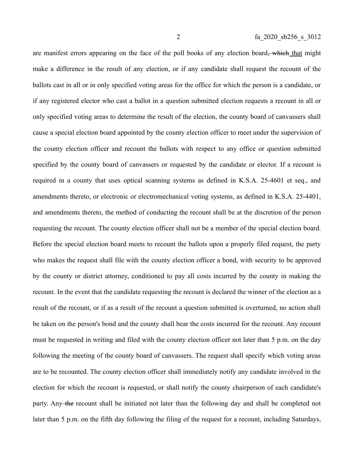are manifest errors appearing on the face of the poll books of any election board<del>, which</del> that might make a difference in the result of any election, or if any candidate shall request the recount of the ballots cast in all or in only specified voting areas for the office for which the person is a candidate, or if any registered elector who cast a ballot in a question submitted election requests a recount in all or only specified voting areas to determine the result of the election, the county board of canvassers shall cause a special election board appointed by the county election officer to meet under the supervision of the county election officer and recount the ballots with respect to any office or question submitted specified by the county board of canvassers or requested by the candidate or elector. If a recount is required in a county that uses optical scanning systems as defined in K.S.A. 25-4601 et seq., and amendments thereto, or electronic or electromechanical voting systems, as defined in K.S.A. 25-4401, and amendments thereto, the method of conducting the recount shall be at the discretion of the person requesting the recount. The county election officer shall not be a member of the special election board. Before the special election board meets to recount the ballots upon a properly filed request, the party who makes the request shall file with the county election officer a bond, with security to be approved by the county or district attorney, conditioned to pay all costs incurred by the county in making the recount. In the event that the candidate requesting the recount is declared the winner of the election as a result of the recount, or if as a result of the recount a question submitted is overturned, no action shall be taken on the person's bond and the county shall bear the costs incurred for the recount. Any recount must be requested in writing and filed with the county election officer not later than 5 p.m. on the day following the meeting of the county board of canvassers. The request shall specify which voting areas are to be recounted. The county election officer shall immediately notify any candidate involved in the election for which the recount is requested, or shall notify the county chairperson of each candidate's party. Any the recount shall be initiated not later than the following day and shall be completed not later than 5 p.m. on the fifth day following the filing of the request for a recount, including Saturdays,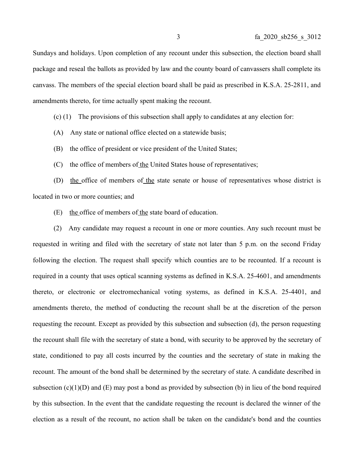Sundays and holidays. Upon completion of any recount under this subsection, the election board shall package and reseal the ballots as provided by law and the county board of canvassers shall complete its canvass. The members of the special election board shall be paid as prescribed in K.S.A. 25-2811, and amendments thereto, for time actually spent making the recount.

- (c) (1) The provisions of this subsection shall apply to candidates at any election for:
- (A) Any state or national office elected on a statewide basis;
- (B) the office of president or vice president of the United States;
- (C) the office of members of the United States house of representatives;

(D) the office of members of the state senate or house of representatives whose district is located in two or more counties; and

(E) the office of members of the state board of education.

(2) Any candidate may request a recount in one or more counties. Any such recount must be requested in writing and filed with the secretary of state not later than 5 p.m. on the second Friday following the election. The request shall specify which counties are to be recounted. If a recount is required in a county that uses optical scanning systems as defined in K.S.A. 25-4601, and amendments thereto, or electronic or electromechanical voting systems, as defined in K.S.A. 25-4401, and amendments thereto, the method of conducting the recount shall be at the discretion of the person requesting the recount. Except as provided by this subsection and subsection (d), the person requesting the recount shall file with the secretary of state a bond, with security to be approved by the secretary of state, conditioned to pay all costs incurred by the counties and the secretary of state in making the recount. The amount of the bond shall be determined by the secretary of state. A candidate described in subsection  $(c)(1)(D)$  and  $(E)$  may post a bond as provided by subsection (b) in lieu of the bond required by this subsection. In the event that the candidate requesting the recount is declared the winner of the election as a result of the recount, no action shall be taken on the candidate's bond and the counties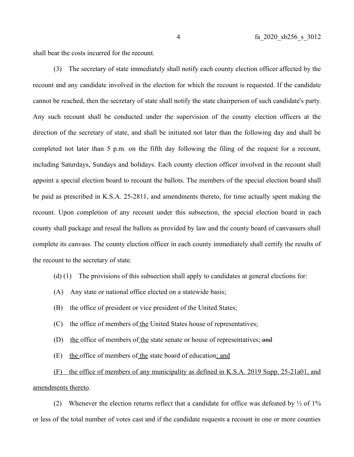shall bear the costs incurred for the recount.

(3) The secretary of state immediately shall notify each county election officer affected by the recount and any candidate involved in the election for which the recount is requested. If the candidate cannot be reached, then the secretary of state shall notify the state chairperson of such candidate's party. Any such recount shall be conducted under the supervision of the county election officers at the direction of the secretary of state, and shall be initiated not later than the following day and shall be completed not later than 5 p.m. on the fifth day following the filing of the request for a recount, including Saturdays, Sundays and holidays. Each county election officer involved in the recount shall appoint a special election board to recount the ballots. The members of the special election board shall be paid as prescribed in K.S.A. 25-2811, and amendments thereto, for time actually spent making the recount. Upon completion of any recount under this subsection, the special election board in each county shall package and reseal the ballots as provided by law and the county board of canvassers shall complete its canvass. The county election officer in each county immediately shall certify the results of the recount to the secretary of state.

- (d) (1) The provisions of this subsection shall apply to candidates at general elections for:
- (A) Any state or national office elected on a statewide basis;
- (B) the office of president or vice president of the United States;
- (C) the office of members of the United States house of representatives;
- (D) the office of members of the state senate or house of representatives; and
- (E) the office of members of the state board of education; and

(F) the office of members of any municipality as defined in K.S.A. 2019 Supp. 25-21a01, and amendments thereto.

(2) Whenever the election returns reflect that a candidate for office was defeated by  $\frac{1}{2}$  of  $1\%$ or less of the total number of votes cast and if the candidate requests a recount in one or more counties